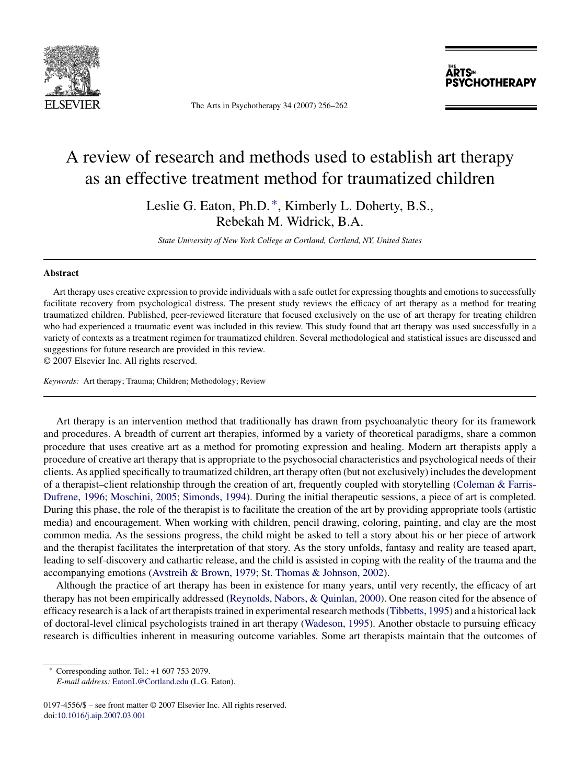

The Arts in Psychotherapy 34 (2007) 256–262

ïPTS™ **PSYCHOTHERAPY** 

# A review of research and methods used to establish art therapy as an effective treatment method for traumatized children

Leslie G. Eaton, Ph.D. ∗, Kimberly L. Doherty, B.S., Rebekah M. Widrick, B.A.

*State University of New York College at Cortland, Cortland, NY, United States*

#### **Abstract**

Art therapy uses creative expression to provide individuals with a safe outlet for expressing thoughts and emotions to successfully facilitate recovery from psychological distress. The present study reviews the efficacy of art therapy as a method for treating traumatized children. Published, peer-reviewed literature that focused exclusively on the use of art therapy for treating children who had experienced a traumatic event was included in this review. This study found that art therapy was used successfully in a variety of contexts as a treatment regimen for traumatized children. Several methodological and statistical issues are discussed and suggestions for future research are provided in this review.

© 2007 Elsevier Inc. All rights reserved.

*Keywords:* Art therapy; Trauma; Children; Methodology; Review

Art therapy is an intervention method that traditionally has drawn from psychoanalytic theory for its framework and procedures. A breadth of current art therapies, informed by a variety of theoretical paradigms, share a common procedure that uses creative art as a method for promoting expression and healing. Modern art therapists apply a procedure of creative art therapy that is appropriate to the psychosocial characteristics and psychological needs of their clients. As applied specifically to traumatized children, art therapy often (but not exclusively) includes the development of a therapist–client relationship through the creation of art, frequently coupled with storytelling [\(Coleman & Farris-](#page-6-0)Dufrene, [1996;](#page-6-0) [Moschini, 2005; Simonds, 1994\).](#page-6-0) During the initial therapeutic sessions, a piece of art is completed. During this phase, the role of the therapist is to facilitate the creation of the art by providing appropriate tools (artistic media) and encouragement. When working with children, pencil drawing, coloring, painting, and clay are the most common media. As the sessions progress, the child might be asked to tell a story about his or her piece of artwork and the therapist facilitates the interpretation of that story. As the story unfolds, fantasy and reality are teased apart, leading to self-discovery and cathartic release, and the child is assisted in coping with the reality of the trauma and the accompanying emotions [\(Avstreih & Brown, 1979;](#page-6-0) [St. Thomas & Johnson, 2002\).](#page-6-0)

Although the practice of art therapy has been in existence for many years, until very recently, the efficacy of art therapy has not been empirically addressed ([Reynolds, Nabors, & Quinlan, 2000\).](#page-6-0) One reason cited for the absence of efficacy research is a lack of art therapists trained in experimental research methods ([Tibbetts, 1995\)](#page-6-0) and a historical lack of doctoral-level clinical psychologists trained in art therapy [\(Wadeson, 1995\).](#page-6-0) Another obstacle to pursuing efficacy research is difficulties inherent in measuring outcome variables. Some art therapists maintain that the outcomes of

∗ Corresponding author. Tel.: +1 607 753 2079.

*E-mail address:* [EatonL@Cortland.edu](mailto:EatonL@Cortland.edu) (L.G. Eaton).

<sup>0197-4556/\$ –</sup> see front matter © 2007 Elsevier Inc. All rights reserved. doi[:10.1016/j.aip.2007.03.001](dx.doi.org/10.1016/j.aip.2007.03.001)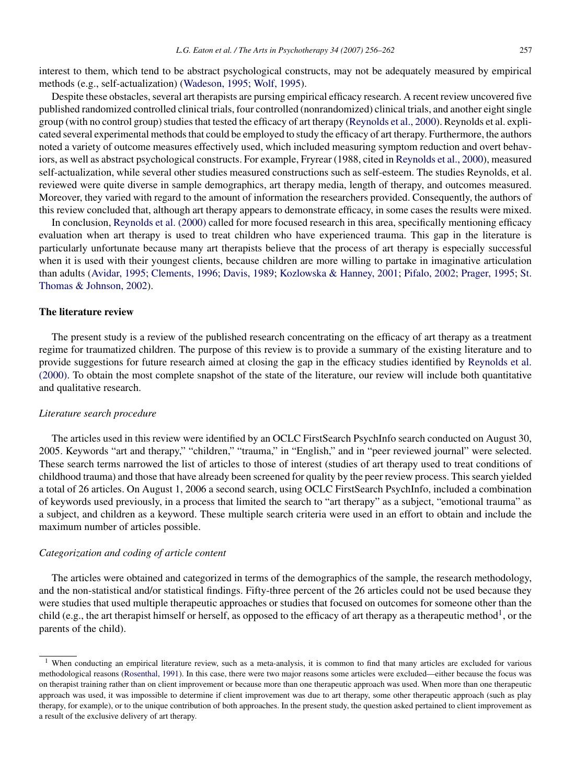interest to them, which tend to be abstract psychological constructs, may not be adequately measured by empirical methods (e.g., self-actualization) ([Wadeson, 1995; Wolf, 1995\).](#page-6-0)

Despite these obstacles, several art therapists are pursing empirical efficacy research. A recent review uncovered five published randomized controlled clinical trials, four controlled (nonrandomized) clinical trials, and another eight single group (with no control group) studies that tested the efficacy of art therapy ([Reynolds et al., 2000\).](#page-6-0) Reynolds et al. explicated several experimental methods that could be employed to study the efficacy of art therapy. Furthermore, the authors noted a variety of outcome measures effectively used, which included measuring symptom reduction and overt behaviors, as well as abstract psychological constructs. For example, Fryrear (1988, cited in [Reynolds et al., 2000\),](#page-6-0) measured self-actualization, while several other studies measured constructions such as self-esteem. The studies Reynolds, et al. reviewed were quite diverse in sample demographics, art therapy media, length of therapy, and outcomes measured. Moreover, they varied with regard to the amount of information the researchers provided. Consequently, the authors of this review concluded that, although art therapy appears to demonstrate efficacy, in some cases the results were mixed.

In conclusion, [Reynolds et al. \(2000\)](#page-6-0) called for more focused research in this area, specifically mentioning efficacy evaluation when art therapy is used to treat children who have experienced trauma. This gap in the literature is particularly unfortunate because many art therapists believe that the process of art therapy is especially successful when it is used with their youngest clients, because children are more willing to partake in imaginative articulation than adults [\(Avidar, 1995; Clements, 1996; Davis, 1989;](#page-6-0) [Kozlowska & Hanney, 2001;](#page-6-0) [Pifalo, 2002; Prager, 1995;](#page-6-0) [St.](#page-6-0) [Thomas & Johnson, 2002\).](#page-6-0)

# **The literature review**

The present study is a review of the published research concentrating on the efficacy of art therapy as a treatment regime for traumatized children. The purpose of this review is to provide a summary of the existing literature and to provide suggestions for future research aimed at closing the gap in the efficacy studies identified by [Reynolds et al.](#page-6-0) [\(2000\). T](#page-6-0)o obtain the most complete snapshot of the state of the literature, our review will include both quantitative and qualitative research.

#### *Literature search procedure*

The articles used in this review were identified by an OCLC FirstSearch PsychInfo search conducted on August 30, 2005. Keywords "art and therapy," "children," "trauma," in "English," and in "peer reviewed journal" were selected. These search terms narrowed the list of articles to those of interest (studies of art therapy used to treat conditions of childhood trauma) and those that have already been screened for quality by the peer review process. This search yielded a total of 26 articles. On August 1, 2006 a second search, using OCLC FirstSearch PsychInfo, included a combination of keywords used previously, in a process that limited the search to "art therapy" as a subject, "emotional trauma" as a subject, and children as a keyword. These multiple search criteria were used in an effort to obtain and include the maximum number of articles possible.

#### *Categorization and coding of article content*

The articles were obtained and categorized in terms of the demographics of the sample, the research methodology, and the non-statistical and/or statistical findings. Fifty-three percent of the 26 articles could not be used because they were studies that used multiple therapeutic approaches or studies that focused on outcomes for someone other than the child (e.g., the art therapist himself or herself, as opposed to the efficacy of art therapy as a therapeutic method<sup>1</sup>, or the parents of the child).

<sup>&</sup>lt;sup>1</sup> When conducting an empirical literature review, such as a meta-analysis, it is common to find that many articles are excluded for various methodological reasons [\(Rosenthal, 1991\).](#page-6-0) In this case, there were two major reasons some articles were excluded—either because the focus was on therapist training rather than on client improvement or because more than one therapeutic approach was used. When more than one therapeutic approach was used, it was impossible to determine if client improvement was due to art therapy, some other therapeutic approach (such as play therapy, for example), or to the unique contribution of both approaches. In the present study, the question asked pertained to client improvement as a result of the exclusive delivery of art therapy.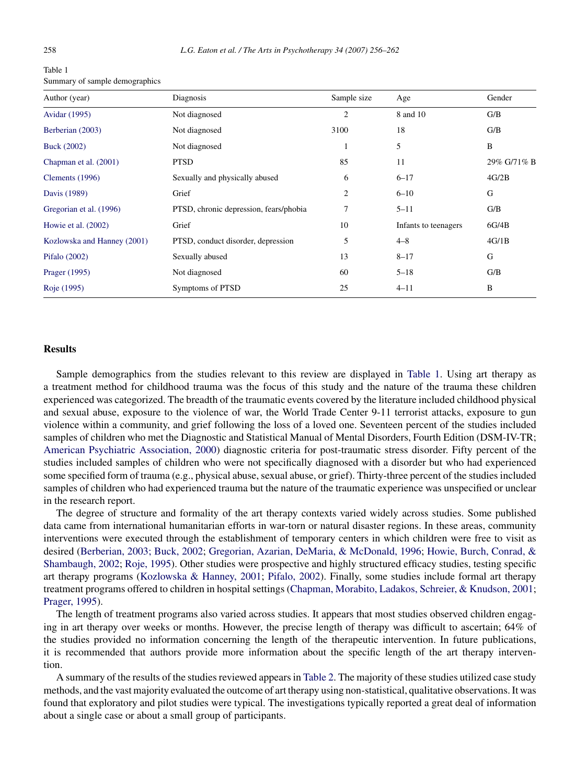| Author (year)               | Diagnosis                              | Sample size | Age                  | Gender<br>G/B |  |
|-----------------------------|----------------------------------------|-------------|----------------------|---------------|--|
| Avidar (1995)               | Not diagnosed                          | 2           | 8 and 10             |               |  |
| Berberian (2003)            | Not diagnosed                          | 3100        | 18                   | G/B           |  |
| Buck (2002)                 | Not diagnosed                          |             | 5                    | B             |  |
| Chapman et al. (2001)       | <b>PTSD</b>                            | 85          | 11                   | 29% G/71% B   |  |
| Clements (1996)             | Sexually and physically abused         | 6           | $6 - 17$             | 4G/2B         |  |
| Davis (1989)                | Grief                                  | 2           | $6 - 10$             | G             |  |
| Gregorian et al. (1996)     | PTSD, chronic depression, fears/phobia | 7           | $5 - 11$             | G/B           |  |
| Howie et al. $(2002)$       | Grief                                  | 10          | Infants to teenagers | 6G/4B         |  |
| Kozlowska and Hanney (2001) | PTSD, conduct disorder, depression     | 5           | $4 - 8$              | 4G/1B         |  |
| Pifalo (2002)               | Sexually abused                        | 13          | $8 - 17$             | G             |  |
| Prager (1995)               | Not diagnosed                          | 60          | $5 - 18$             | G/B           |  |

[Roje \(1995\)](#page-6-0) Symptoms of PTSD 25 4–11 B

Table 1 Summary of sample demographics

## **Results**

Sample demographics from the studies relevant to this review are displayed in Table 1. Using art therapy as a treatment method for childhood trauma was the focus of this study and the nature of the trauma these children experienced was categorized. The breadth of the traumatic events covered by the literature included childhood physical and sexual abuse, exposure to the violence of war, the World Trade Center 9-11 terrorist attacks, exposure to gun violence within a community, and grief following the loss of a loved one. Seventeen percent of the studies included samples of children who met the Diagnostic and Statistical Manual of Mental Disorders, Fourth Edition (DSM-IV-TR; [American Psychiatric Association, 2000\)](#page-6-0) diagnostic criteria for post-traumatic stress disorder. Fifty percent of the studies included samples of children who were not specifically diagnosed with a disorder but who had experienced some specified form of trauma (e.g., physical abuse, sexual abuse, or grief). Thirty-three percent of the studies included samples of children who had experienced trauma but the nature of the traumatic experience was unspecified or unclear in the research report.

The degree of structure and formality of the art therapy contexts varied widely across studies. Some published data came from international humanitarian efforts in war-torn or natural disaster regions. In these areas, community interventions were executed through the establishment of temporary centers in which children were free to visit as desired [\(Berberian, 2003; Buck, 2002;](#page-6-0) [Gregorian, Azarian, DeMaria, & McDonald, 1996;](#page-6-0) [Howie, Burch, Conrad, &](#page-6-0) [Shambaugh, 2002;](#page-6-0) [Roje, 1995\).](#page-6-0) Other studies were prospective and highly structured efficacy studies, testing specific art therapy programs ([Kozlowska & Hanney, 2001;](#page-6-0) [Pifalo, 2002\).](#page-6-0) Finally, some studies include formal art therapy treatment programs offered to children in hospital settings ([Chapman, Morabito, Ladakos, Schreier, & Knudson, 2001;](#page-6-0) [Prager, 1995\).](#page-6-0)

The length of treatment programs also varied across studies. It appears that most studies observed children engaging in art therapy over weeks or months. However, the precise length of therapy was difficult to ascertain; 64% of the studies provided no information concerning the length of the therapeutic intervention. In future publications, it is recommended that authors provide more information about the specific length of the art therapy intervention.

A summary of the results of the studies reviewed appears in [Table 2. T](#page-3-0)he majority of these studies utilized case study methods, and the vast majority evaluated the outcome of art therapy using non-statistical, qualitative observations. It was found that exploratory and pilot studies were typical. The investigations typically reported a great deal of information about a single case or about a small group of participants.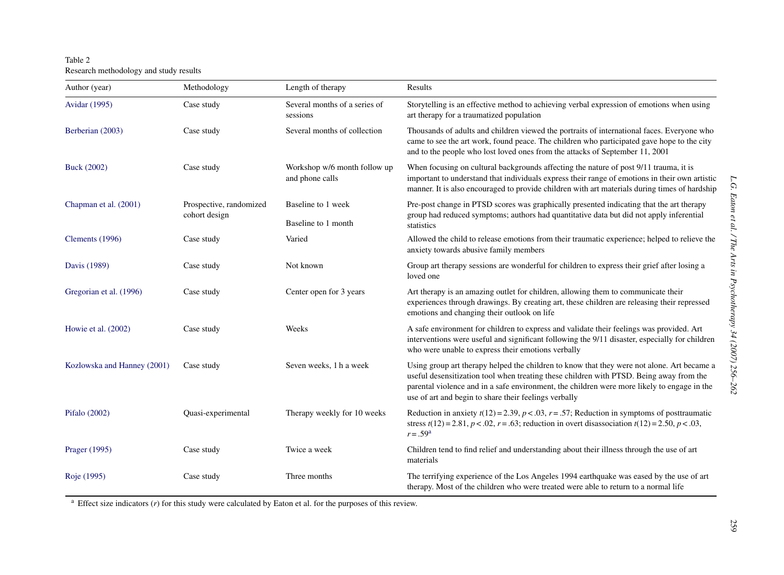<span id="page-3-0"></span>Table 2 Research methodology and study results

| Author (year)               | Methodology                              | Length of therapy                               | Results                                                                                                                                                                                                                                                                                                                                       |  |
|-----------------------------|------------------------------------------|-------------------------------------------------|-----------------------------------------------------------------------------------------------------------------------------------------------------------------------------------------------------------------------------------------------------------------------------------------------------------------------------------------------|--|
| Avidar (1995)               | Case study                               | Several months of a series of<br>sessions       | Storytelling is an effective method to achieving verbal expression of emotions when using<br>art therapy for a traumatized population                                                                                                                                                                                                         |  |
| Berberian (2003)            | Case study                               | Several months of collection                    | Thousands of adults and children viewed the portraits of international faces. Everyone who<br>came to see the art work, found peace. The children who participated gave hope to the city<br>and to the people who lost loved ones from the attacks of September 11, 2001                                                                      |  |
| Buck (2002)                 | Case study                               | Workshop w/6 month follow up<br>and phone calls | When focusing on cultural backgrounds affecting the nature of post 9/11 trauma, it is<br>important to understand that individuals express their range of emotions in their own artistic<br>manner. It is also encouraged to provide children with art materials during times of hardship                                                      |  |
| Chapman et al. (2001)       | Prospective, randomized<br>cohort design | Baseline to 1 week<br>Baseline to 1 month       | Pre-post change in PTSD scores was graphically presented indicating that the art therapy<br>group had reduced symptoms; authors had quantitative data but did not apply inferential<br>statistics                                                                                                                                             |  |
| Clements (1996)             | Case study                               | Varied                                          | Allowed the child to release emotions from their traumatic experience; helped to relieve the<br>anxiety towards abusive family members                                                                                                                                                                                                        |  |
| Davis (1989)                | Case study                               | Not known                                       | Group art therapy sessions are wonderful for children to express their grief after losing a<br>loved one                                                                                                                                                                                                                                      |  |
| Gregorian et al. (1996)     | Case study                               | Center open for 3 years                         | Art therapy is an amazing outlet for children, allowing them to communicate their<br>experiences through drawings. By creating art, these children are releasing their repressed<br>emotions and changing their outlook on life                                                                                                               |  |
| Howie et al. (2002)         | Case study                               | Weeks                                           | A safe environment for children to express and validate their feelings was provided. Art<br>interventions were useful and significant following the 9/11 disaster, especially for children<br>who were unable to express their emotions verbally                                                                                              |  |
| Kozlowska and Hanney (2001) | Case study                               | Seven weeks, 1 h a week                         | Using group art therapy helped the children to know that they were not alone. Art became a<br>useful desensitization tool when treating these children with PTSD. Being away from the<br>parental violence and in a safe environment, the children were more likely to engage in the<br>use of art and begin to share their feelings verbally |  |
| Pifalo (2002)               | Quasi-experimental                       | Therapy weekly for 10 weeks                     | Reduction in anxiety $t(12) = 2.39$ , $p < .03$ , $r = .57$ ; Reduction in symptoms of posttraumatic<br>stress $t(12) = 2.81$ , $p < .02$ , $r = .63$ ; reduction in overt disassociation $t(12) = 2.50$ , $p < .03$ ,<br>$r = .59^{\rm a}$                                                                                                   |  |
| Prager (1995)               | Case study                               | Twice a week                                    | Children tend to find relief and understanding about their illness through the use of art<br>materials                                                                                                                                                                                                                                        |  |
| Roje (1995)                 | Case study                               | Three months                                    | The terrifying experience of the Los Angeles 1994 earthquake was eased by the use of art<br>therapy. Most of the children who were treated were able to return to a normal life                                                                                                                                                               |  |

a Effect size indicators (*r*) for this study were calculated by Eaton et al. for the purposes of this review.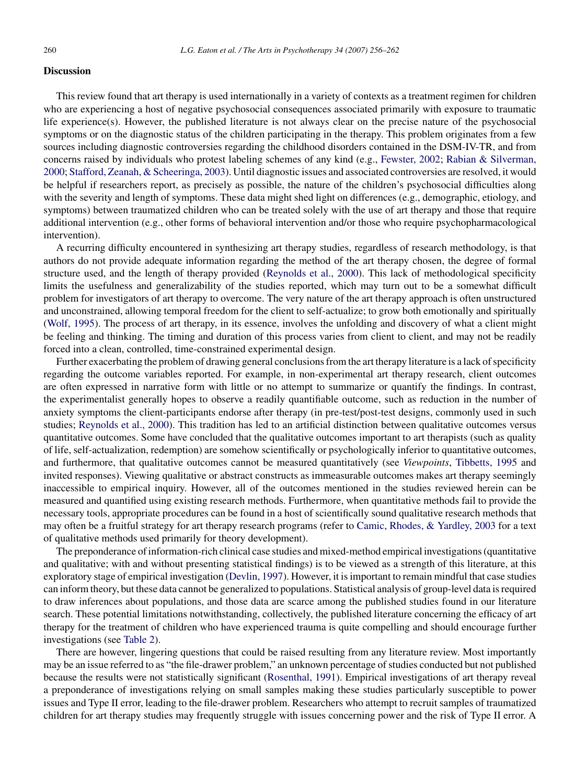## **Discussion**

This review found that art therapy is used internationally in a variety of contexts as a treatment regimen for children who are experiencing a host of negative psychosocial consequences associated primarily with exposure to traumatic life experience(s). However, the published literature is not always clear on the precise nature of the psychosocial symptoms or on the diagnostic status of the children participating in the therapy. This problem originates from a few sources including diagnostic controversies regarding the childhood disorders contained in the DSM-IV-TR, and from concerns raised by individuals who protest labeling schemes of any kind (e.g., [Fewster, 2002;](#page-6-0) [Rabian & Silverman,](#page-6-0) [2000;](#page-6-0) [Stafford, Zeanah, & Scheeringa, 2003\).](#page-6-0) Until diagnostic issues and associated controversies are resolved, it would be helpful if researchers report, as precisely as possible, the nature of the children's psychosocial difficulties along with the severity and length of symptoms. These data might shed light on differences (e.g., demographic, etiology, and symptoms) between traumatized children who can be treated solely with the use of art therapy and those that require additional intervention (e.g., other forms of behavioral intervention and/or those who require psychopharmacological intervention).

A recurring difficulty encountered in synthesizing art therapy studies, regardless of research methodology, is that authors do not provide adequate information regarding the method of the art therapy chosen, the degree of formal structure used, and the length of therapy provided [\(Reynolds et al., 2000\).](#page-6-0) This lack of methodological specificity limits the usefulness and generalizability of the studies reported, which may turn out to be a somewhat difficult problem for investigators of art therapy to overcome. The very nature of the art therapy approach is often unstructured and unconstrained, allowing temporal freedom for the client to self-actualize; to grow both emotionally and spiritually ([Wolf, 1995\).](#page-6-0) The process of art therapy, in its essence, involves the unfolding and discovery of what a client might be feeling and thinking. The timing and duration of this process varies from client to client, and may not be readily forced into a clean, controlled, time-constrained experimental design.

Further exacerbating the problem of drawing general conclusions from the art therapy literature is a lack of specificity regarding the outcome variables reported. For example, in non-experimental art therapy research, client outcomes are often expressed in narrative form with little or no attempt to summarize or quantify the findings. In contrast, the experimentalist generally hopes to observe a readily quantifiable outcome, such as reduction in the number of anxiety symptoms the client-participants endorse after therapy (in pre-test/post-test designs, commonly used in such studies; [Reynolds et al., 2000\).](#page-6-0) This tradition has led to an artificial distinction between qualitative outcomes versus quantitative outcomes. Some have concluded that the qualitative outcomes important to art therapists (such as quality of life, self-actualization, redemption) are somehow scientifically or psychologically inferior to quantitative outcomes, and furthermore, that qualitative outcomes cannot be measured quantitatively (see *Viewpoints*, [Tibbetts, 1995](#page-6-0) and invited responses). Viewing qualitative or abstract constructs as immeasurable outcomes makes art therapy seemingly inaccessible to empirical inquiry. However, all of the outcomes mentioned in the studies reviewed herein can be measured and quantified using existing research methods. Furthermore, when quantitative methods fail to provide the necessary tools, appropriate procedures can be found in a host of scientifically sound qualitative research methods that may often be a fruitful strategy for art therapy research programs (refer to [Camic, Rhodes, & Yardley, 2003](#page-6-0) for a text of qualitative methods used primarily for theory development).

The preponderance of information-rich clinical case studies and mixed-method empirical investigations (quantitative and qualitative; with and without presenting statistical findings) is to be viewed as a strength of this literature, at this exploratory stage of empirical investigation ([Devlin, 1997\).](#page-6-0) However, it is important to remain mindful that case studies can inform theory, but these data cannot be generalized to populations. Statistical analysis of group-level data is required to draw inferences about populations, and those data are scarce among the published studies found in our literature search. These potential limitations notwithstanding, collectively, the published literature concerning the efficacy of art therapy for the treatment of children who have experienced trauma is quite compelling and should encourage further investigations (see [Table 2\).](#page-3-0)

There are however, lingering questions that could be raised resulting from any literature review. Most importantly may be an issue referred to as "the file-drawer problem," an unknown percentage of studies conducted but not published because the results were not statistically significant [\(Rosenthal, 1991\).](#page-6-0) Empirical investigations of art therapy reveal a preponderance of investigations relying on small samples making these studies particularly susceptible to power issues and Type II error, leading to the file-drawer problem. Researchers who attempt to recruit samples of traumatized children for art therapy studies may frequently struggle with issues concerning power and the risk of Type II error. A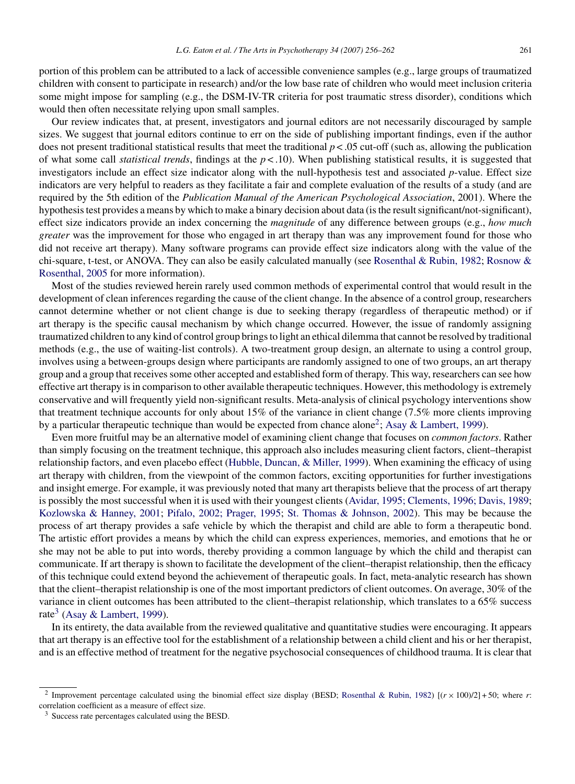portion of this problem can be attributed to a lack of accessible convenience samples (e.g., large groups of traumatized children with consent to participate in research) and/or the low base rate of children who would meet inclusion criteria some might impose for sampling (e.g., the DSM-IV-TR criteria for post traumatic stress disorder), conditions which would then often necessitate relying upon small samples.

Our review indicates that, at present, investigators and journal editors are not necessarily discouraged by sample sizes. We suggest that journal editors continue to err on the side of publishing important findings, even if the author does not present traditional statistical results that meet the traditional *p* < .05 cut-off (such as, allowing the publication of what some call *statistical trends*, findings at the *p* < .10). When publishing statistical results, it is suggested that investigators include an effect size indicator along with the null-hypothesis test and associated *p*-value. Effect size indicators are very helpful to readers as they facilitate a fair and complete evaluation of the results of a study (and are required by the 5th edition of the *Publication Manual of the American Psychological Association*, 2001). Where the hypothesis test provides a means by which to make a binary decision about data (is the result significant/not-significant), effect size indicators provide an index concerning the *magnitude* of any difference between groups (e.g., *how much greater* was the improvement for those who engaged in art therapy than was any improvement found for those who did not receive art therapy). Many software programs can provide effect size indicators along with the value of the chi-square, t-test, or ANOVA. They can also be easily calculated manually (see [Rosenthal & Rubin, 1982;](#page-6-0) [Rosnow &](#page-6-0) [Rosenthal, 2005](#page-6-0) for more information).

Most of the studies reviewed herein rarely used common methods of experimental control that would result in the development of clean inferences regarding the cause of the client change. In the absence of a control group, researchers cannot determine whether or not client change is due to seeking therapy (regardless of therapeutic method) or if art therapy is the specific causal mechanism by which change occurred. However, the issue of randomly assigning traumatized children to any kind of control group brings to light an ethical dilemma that cannot be resolved by traditional methods (e.g., the use of waiting-list controls). A two-treatment group design, an alternate to using a control group, involves using a between-groups design where participants are randomly assigned to one of two groups, an art therapy group and a group that receives some other accepted and established form of therapy. This way, researchers can see how effective art therapy is in comparison to other available therapeutic techniques. However, this methodology is extremely conservative and will frequently yield non-significant results. Meta-analysis of clinical psychology interventions show that treatment technique accounts for only about 15% of the variance in client change (7.5% more clients improving by a particular therapeutic technique than would be expected from chance alone2; [Asay & Lambert, 1999\).](#page-6-0)

Even more fruitful may be an alternative model of examining client change that focuses on *common factors*. Rather than simply focusing on the treatment technique, this approach also includes measuring client factors, client–therapist relationship factors, and even placebo effect [\(Hubble, Duncan, & Miller, 1999\).](#page-6-0) When examining the efficacy of using art therapy with children, from the viewpoint of the common factors, exciting opportunities for further investigations and insight emerge. For example, it was previously noted that many art therapists believe that the process of art therapy is possibly the most successful when it is used with their youngest clients ([Avidar, 1995; Clements, 1996; Davis, 1989;](#page-6-0) [Kozlowska & Hanney, 2001;](#page-6-0) [Pifalo, 2002; Prager, 1995;](#page-6-0) [St. Thomas & Johnson, 2002\).](#page-6-0) This may be because the process of art therapy provides a safe vehicle by which the therapist and child are able to form a therapeutic bond. The artistic effort provides a means by which the child can express experiences, memories, and emotions that he or she may not be able to put into words, thereby providing a common language by which the child and therapist can communicate. If art therapy is shown to facilitate the development of the client–therapist relationship, then the efficacy of this technique could extend beyond the achievement of therapeutic goals. In fact, meta-analytic research has shown that the client–therapist relationship is one of the most important predictors of client outcomes. On average, 30% of the variance in client outcomes has been attributed to the client–therapist relationship, which translates to a 65% success rate<sup>3</sup> ([Asay & Lambert, 1999\).](#page-6-0)

In its entirety, the data available from the reviewed qualitative and quantitative studies were encouraging. It appears that art therapy is an effective tool for the establishment of a relationship between a child client and his or her therapist, and is an effective method of treatment for the negative psychosocial consequences of childhood trauma. It is clear that

<sup>2</sup> Improvement percentage calculated using the binomial effect size display (BESD; [Rosenthal & Rubin, 1982\)](#page-6-0) [(*<sup>r</sup>* <sup>×</sup> 100)/2] + 50; where *<sup>r</sup>*: correlation coefficient as a measure of effect size.

<sup>3</sup> Success rate percentages calculated using the BESD.